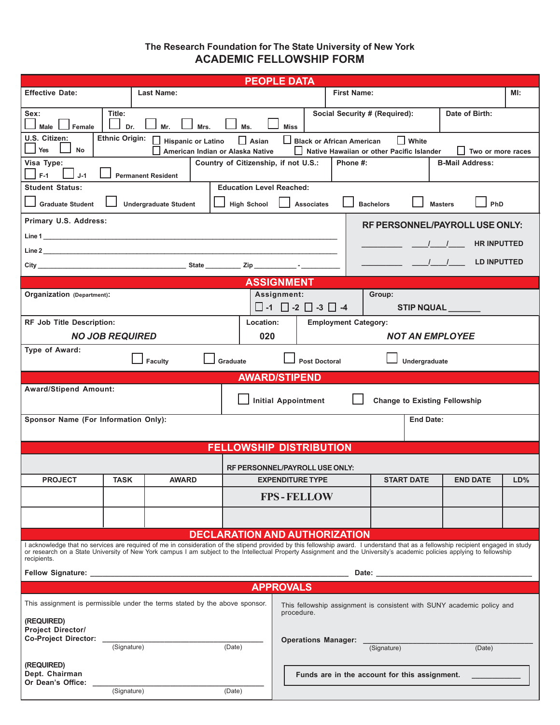### **The Research Foundation for The State University of New York ACADEMIC FELLOWSHIP FORM**

| <b>PEOPLE DATA</b>                                                                                                                                                                                                                                                                                                                                                          |                             |  |        |                                               |                            |  |                       |                 |                 |  |
|-----------------------------------------------------------------------------------------------------------------------------------------------------------------------------------------------------------------------------------------------------------------------------------------------------------------------------------------------------------------------------|-----------------------------|--|--------|-----------------------------------------------|----------------------------|--|-----------------------|-----------------|-----------------|--|
| <b>Effective Date:</b>                                                                                                                                                                                                                                                                                                                                                      | <b>Last Name:</b>           |  |        | <b>First Name:</b>                            |                            |  |                       |                 |                 |  |
| Title:<br>Date of Birth:<br>Social Security # (Required):<br>Sex:<br>Male<br>Female<br>Dr.<br>Ms.<br><b>Miss</b><br>Mr.<br>Mrs.                                                                                                                                                                                                                                             |                             |  |        |                                               |                            |  |                       |                 |                 |  |
| <b>Ethnic Origin:</b><br>U.S. Citizen:<br>Black or African American<br>$\Box$ Asian<br>$\Box$ White<br><b>Hispanic or Latino</b><br>Yes<br><b>No</b><br>American Indian or Alaska Native<br>Native Hawaiian or other Pacific Islander<br>Two or more races                                                                                                                  |                             |  |        |                                               |                            |  |                       |                 |                 |  |
| Country of Citizenship, if not U.S.:<br>Visa Type:<br>Phone #:<br><b>B-Mail Address:</b><br>$F-1$<br>$J-1$<br><b>Permanent Resident</b>                                                                                                                                                                                                                                     |                             |  |        |                                               |                            |  |                       |                 |                 |  |
| <b>Student Status:</b><br><b>Education Level Reached:</b><br><b>Graduate Student</b><br>PhD<br><b>High School</b><br><b>Associates</b><br><b>Undergraduate Student</b><br><b>Bachelors</b><br><b>Masters</b>                                                                                                                                                                |                             |  |        |                                               |                            |  |                       |                 |                 |  |
| Primary U.S. Address:<br>RF PERSONNEL/PAYROLL USE ONLY:                                                                                                                                                                                                                                                                                                                     |                             |  |        |                                               |                            |  |                       |                 |                 |  |
| <b>HR INPUTTED</b><br>$\begin{array}{ccc} \end{array}$                                                                                                                                                                                                                                                                                                                      |                             |  |        |                                               |                            |  |                       |                 |                 |  |
| $\sqrt{1}$<br><b>LD INPUTTED</b>                                                                                                                                                                                                                                                                                                                                            |                             |  |        |                                               |                            |  |                       |                 |                 |  |
| <b>ASSIGNMENT</b>                                                                                                                                                                                                                                                                                                                                                           |                             |  |        |                                               |                            |  |                       |                 |                 |  |
| Assignment:<br>Organization (Department):<br>Group:                                                                                                                                                                                                                                                                                                                         |                             |  |        |                                               |                            |  |                       |                 |                 |  |
| $\Box$ -1 $\Box$ -2 $\Box$ -3 $\Box$ -4<br>STIP NQUAL                                                                                                                                                                                                                                                                                                                       |                             |  |        |                                               |                            |  |                       |                 |                 |  |
| <b>RF Job Title Description:</b><br>Location:<br><b>Employment Category:</b>                                                                                                                                                                                                                                                                                                |                             |  |        |                                               |                            |  |                       |                 |                 |  |
| <b>NO JOB REQUIRED</b><br>020                                                                                                                                                                                                                                                                                                                                               |                             |  |        |                                               | <b>NOT AN EMPLOYEE</b>     |  |                       |                 |                 |  |
| Type of Award:<br>Graduate<br><b>Post Doctoral</b><br>Faculty<br>Undergraduate                                                                                                                                                                                                                                                                                              |                             |  |        |                                               |                            |  |                       |                 |                 |  |
| <b>AWARD/STIPEND</b>                                                                                                                                                                                                                                                                                                                                                        |                             |  |        |                                               |                            |  |                       |                 |                 |  |
| <b>Award/Stipend Amount:</b><br><b>Initial Appointment</b><br><b>Change to Existing Fellowship</b>                                                                                                                                                                                                                                                                          |                             |  |        |                                               |                            |  |                       |                 |                 |  |
| Sponsor Name (For Information Only):                                                                                                                                                                                                                                                                                                                                        |                             |  |        |                                               | <b>End Date:</b>           |  |                       |                 |                 |  |
| <b>FELLOWSHIP DISTRIBUTION</b>                                                                                                                                                                                                                                                                                                                                              |                             |  |        |                                               |                            |  |                       |                 |                 |  |
| RF PERSONNEL/PAYROLL USE ONLY:                                                                                                                                                                                                                                                                                                                                              |                             |  |        |                                               |                            |  |                       |                 |                 |  |
| <b>PROJECT</b>                                                                                                                                                                                                                                                                                                                                                              | <b>TASK</b><br><b>AWARD</b> |  |        | <b>EXPENDITURE TYPE</b>                       |                            |  | <b>START DATE</b>     | <b>END DATE</b> | LD <sub>0</sub> |  |
|                                                                                                                                                                                                                                                                                                                                                                             |                             |  |        | <b>FPS-FELLOW</b>                             |                            |  |                       |                 |                 |  |
|                                                                                                                                                                                                                                                                                                                                                                             |                             |  |        |                                               |                            |  |                       |                 |                 |  |
| <b>DECLARATION AND AUTHORIZATION</b>                                                                                                                                                                                                                                                                                                                                        |                             |  |        |                                               |                            |  |                       |                 |                 |  |
| I acknowledge that no services are required of me in consideration of the stipend provided by this fellowship award. I understand that as a fellowship recipient engaged in study<br>or research on a State University of New York campus I am subject to the Intellectual Property Assignment and the University's academic policies applying to fellowship<br>recipients. |                             |  |        |                                               |                            |  |                       |                 |                 |  |
| Date: the contract of the contract of the contract of the contract of the contract of the contract of the contract of the contract of the contract of the contract of the contract of the contract of the contract of the cont                                                                                                                                              |                             |  |        |                                               |                            |  |                       |                 |                 |  |
| <b>APPROVALS</b>                                                                                                                                                                                                                                                                                                                                                            |                             |  |        |                                               |                            |  |                       |                 |                 |  |
| This assignment is permissible under the terms stated by the above sponsor.<br>This fellowship assignment is consistent with SUNY academic policy and<br>procedure.                                                                                                                                                                                                         |                             |  |        |                                               |                            |  |                       |                 |                 |  |
| (REQUIRED)<br><b>Project Director/</b><br><b>Co-Project Director:</b>                                                                                                                                                                                                                                                                                                       |                             |  |        |                                               |                            |  |                       |                 |                 |  |
|                                                                                                                                                                                                                                                                                                                                                                             | (Signature)                 |  | (Date) |                                               | <b>Operations Manager:</b> |  | (Signature)<br>(Date) |                 |                 |  |
| (REQUIRED)<br>Dept. Chairman<br>Or Dean's Office:                                                                                                                                                                                                                                                                                                                           |                             |  |        | Funds are in the account for this assignment. |                            |  |                       |                 |                 |  |
|                                                                                                                                                                                                                                                                                                                                                                             | (Signature)                 |  | (Date) |                                               |                            |  |                       |                 |                 |  |